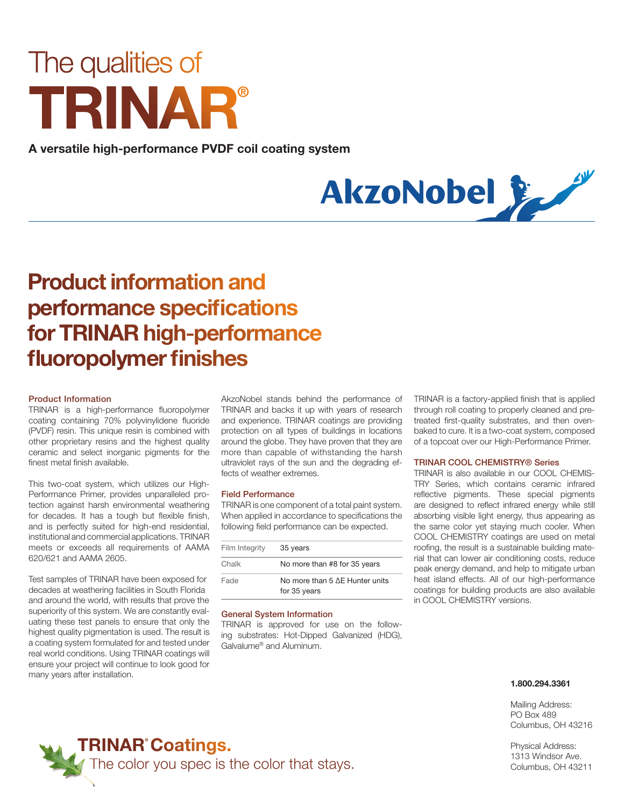# The qualities of **®**

**A versatile high-performance PVDF coil coating system**



# **Productinformation and performance specifications for TRINAR high-performance fl uoropolymer finishes**

## **Product Information**

TRINAR is a high-performance fluoropolymer coating containing 70% polyvinylidene fluoride (PVDF) resin. This unique resin is combined with other proprietary resins and the highest quality ceramic and select inorganic pigments for the finest metal finish available.

This two-coat system, which utilizes our High-Performance Primer, provides unparalleled protection against harsh environmental weathering for decades. It has a tough but flexible finish, and is perfectly suited for high-end residential, institutional and commercial applications. TRINAR meets or exceeds all requirements of AAMA 620/621 and AAMA 2605.

Test samples of TRINAR have been exposed for decades at weathering facilities in South Florida and around the world, with results that prove the superiority of this system. We are constantly evaluating these test panels to ensure that only the highest quality pigmentation is used. The result is a coating system formulated for and tested under real world conditions. Using TRINAR coatings will ensure your project will continue to look good for many years after installation.

AkzoNobel stands behind the performance of TRINAR and backs it up with years of research and experience. TRINAR coatings are providing protection on all types of buildings in locations around the globe. They have proven that they are more than capable of withstanding the harsh ultraviolet rays of the sun and the degrading effects of weather extremes.

#### **Field Performance**

TRINAR is one component of a total paint system. When applied in accordance to specifications the following field performance can be expected.

| Film Integrity | 35 years                                       |
|----------------|------------------------------------------------|
| Chalk          | No more than #8 for 35 years                   |
| Fade           | No more than 5 AE Hunter units<br>for 35 years |

#### **General System Information**

TRINAR is approved for use on the following substrates: Hot-Dipped Galvanized (HDG), Galvalume® and Aluminum.

TRINAR is a factory-applied finish that is applied through roll coating to properly cleaned and pretreated first-quality substrates, and then ovenbaked to cure. It is a two-coat system, composed of a topcoat over our High-Performance Primer.

### **TRINAR COOL CHEMISTRY® Series**

TRINAR is also available in our COOL CHEMIS-TRY Series, which contains ceramic infrared reflective pigments. These special pigments are designed to reflect infrared energy while still absorbing visible light energy, thus appearing as the same color yet staying much cooler. When COOL CHEMISTRY coatings are used on metal roofing, the result is a sustainable building material that can lower air conditioning costs, reduce peak energy demand, and help to mitigate urban heat island effects. All of our high-performance coatings for building products are also available in COOL CHEMISTRY versions.

#### **1.800.294.3361**

Mailing Address: PO Box 489 Columbus, OH 43216

Physical Address: 1313 Windsor Ave. Columbus, OH 43211